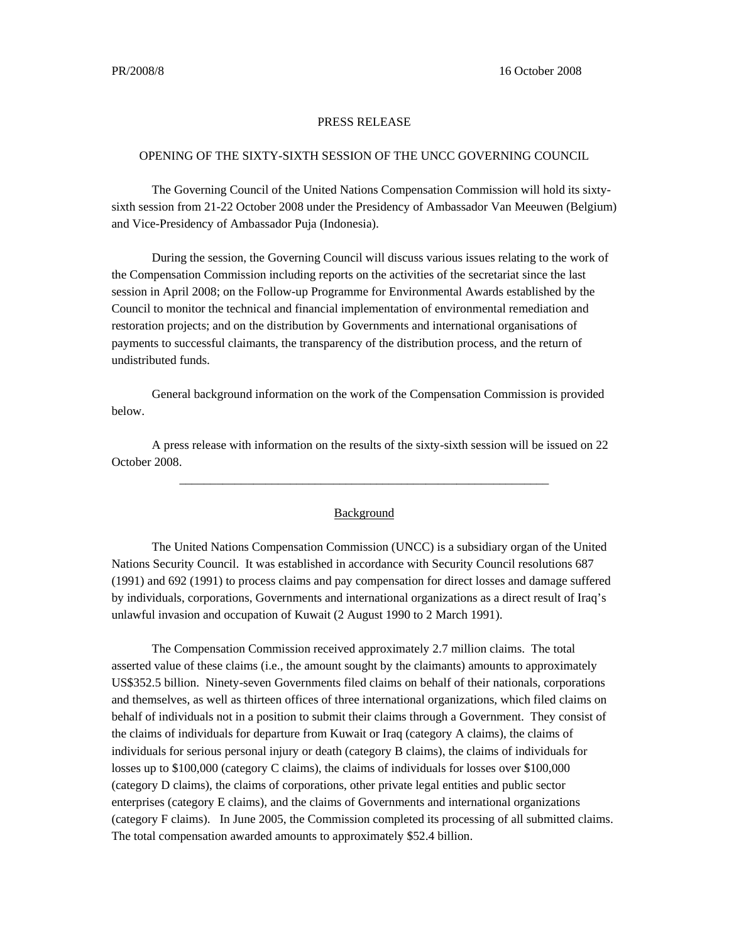## PRESS RELEASE

## OPENING OF THE SIXTY-SIXTH SESSION OF THE UNCC GOVERNING COUNCIL

 The Governing Council of the United Nations Compensation Commission will hold its sixtysixth session from 21-22 October 2008 under the Presidency of Ambassador Van Meeuwen (Belgium) and Vice-Presidency of Ambassador Puja (Indonesia).

 During the session, the Governing Council will discuss various issues relating to the work of the Compensation Commission including reports on the activities of the secretariat since the last session in April 2008; on the Follow-up Programme for Environmental Awards established by the Council to monitor the technical and financial implementation of environmental remediation and restoration projects; and on the distribution by Governments and international organisations of payments to successful claimants, the transparency of the distribution process, and the return of undistributed funds.

General background information on the work of the Compensation Commission is provided below.

 A press release with information on the results of the sixty-sixth session will be issued on 22 October 2008.

## Background

\_\_\_\_\_\_\_\_\_\_\_\_\_\_\_\_\_\_\_\_\_\_\_\_\_\_\_\_\_\_\_\_\_\_\_\_\_\_\_\_\_\_\_\_\_\_\_\_\_\_\_\_\_\_\_\_\_\_\_\_

 The United Nations Compensation Commission (UNCC) is a subsidiary organ of the United Nations Security Council. It was established in accordance with Security Council resolutions 687 (1991) and 692 (1991) to process claims and pay compensation for direct losses and damage suffered by individuals, corporations, Governments and international organizations as a direct result of Iraq's unlawful invasion and occupation of Kuwait (2 August 1990 to 2 March 1991).

 The Compensation Commission received approximately 2.7 million claims. The total asserted value of these claims (i.e., the amount sought by the claimants) amounts to approximately US\$352.5 billion. Ninety-seven Governments filed claims on behalf of their nationals, corporations and themselves, as well as thirteen offices of three international organizations, which filed claims on behalf of individuals not in a position to submit their claims through a Government. They consist of the claims of individuals for departure from Kuwait or Iraq (category A claims), the claims of individuals for serious personal injury or death (category B claims), the claims of individuals for losses up to \$100,000 (category C claims), the claims of individuals for losses over \$100,000 (category D claims), the claims of corporations, other private legal entities and public sector enterprises (category E claims), and the claims of Governments and international organizations (category F claims). In June 2005, the Commission completed its processing of all submitted claims. The total compensation awarded amounts to approximately \$52.4 billion.